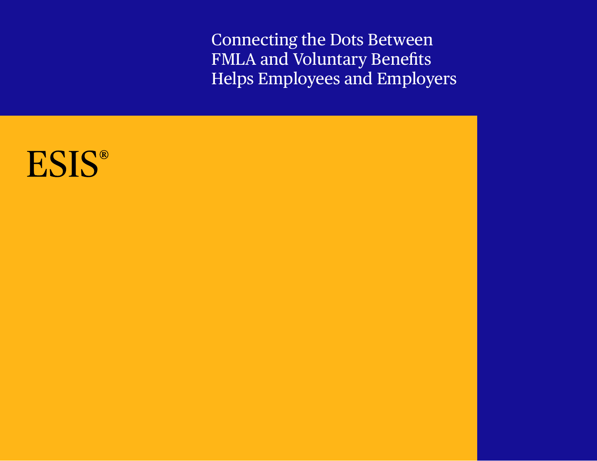Connecting the Dots Between FMLA and Voluntary Benefits Helps Employees and Employers

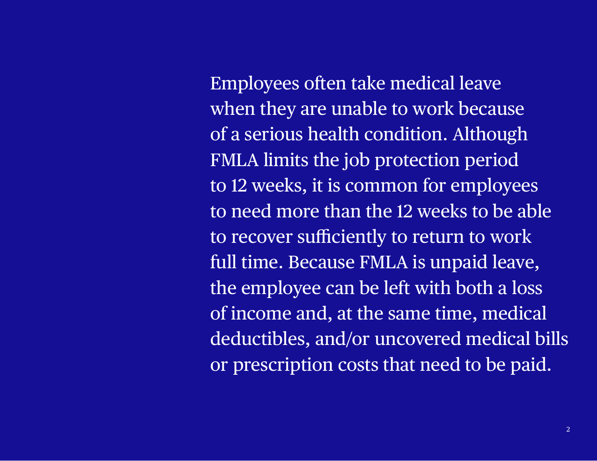Employees often take medical leave when they are unable to work because of a serious health condition. Although FMLA limits the job protection period to 12 weeks, it is common for employees to need more than the 12 weeks to be able to recover sufficiently to return to work full time. Because FMLA is unpaid leave, the employee can be left with both a loss of income and, at the same time, medical deductibles, and/or uncovered medical bills or prescription costs that need to be paid.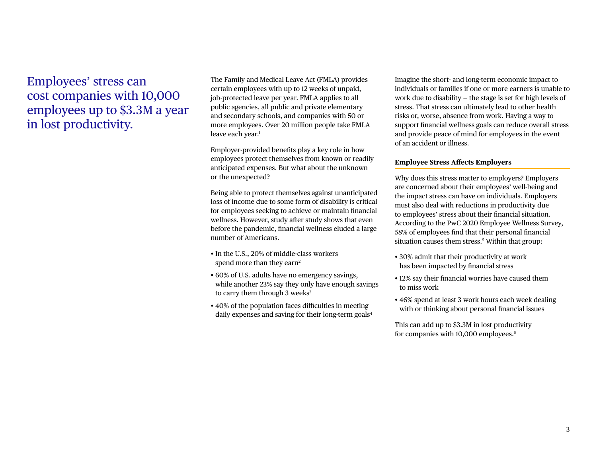Employees' stress can cost companies with 10,000 employees up to \$3.3M a year in lost productivity.

The Family and Medical Leave Act (FMLA) provides certain employees with up to 12 weeks of unpaid, job-protected leave per year. FMLA applies to all public agencies, all public and private elementary and secondary schools, and companies with 50 or more employees. Over 20 million people take FMLA leave each year.<sup>1</sup>

Employer-provided benefits play a key role in how employees protect themselves from known or readily anticipated expenses. But what about the unknown or the unexpected?

Being able to protect themselves against unanticipated loss of income due to some form of disability is critical for employees seeking to achieve or maintain financial wellness. However, study after study shows that even before the pandemic, financial wellness eluded a large number of Americans.

- In the U.S., 20% of middle-class workers spend more than they earn<sup>2</sup>
- 60% of U.S. adults have no emergency savings, while another 23% say they only have enough savings to carry them through  $3$  weeks $3$
- 40% of the population faces difficulties in meeting daily expenses and saving for their long-term goals<sup>4</sup>

Imagine the short- and long-term economic impact to individuals or families if one or more earners is unable to work due to disability — the stage is set for high levels of stress. That stress can ultimately lead to other health risks or, worse, absence from work. Having a way to support financial wellness goals can reduce overall stress and provide peace of mind for employees in the event of an accident or illness.

#### **Employee Stress Affects Employers**

Why does this stress matter to employers? Employers are concerned about their employees' well-being and the impact stress can have on individuals. Employers must also deal with reductions in productivity due to employees' stress about their financial situation. According to the PwC 2020 Employee Wellness Survey, 58% of employees find that their personal financial situation causes them stress.5 Within that group:

- 30% admit that their productivity at work has been impacted by financial stress
- 12% say their financial worries have caused them to miss work
- 46% spend at least 3 work hours each week dealing with or thinking about personal financial issues

This can add up to \$3.3M in lost productivity for companies with 10,000 employees.<sup>6</sup>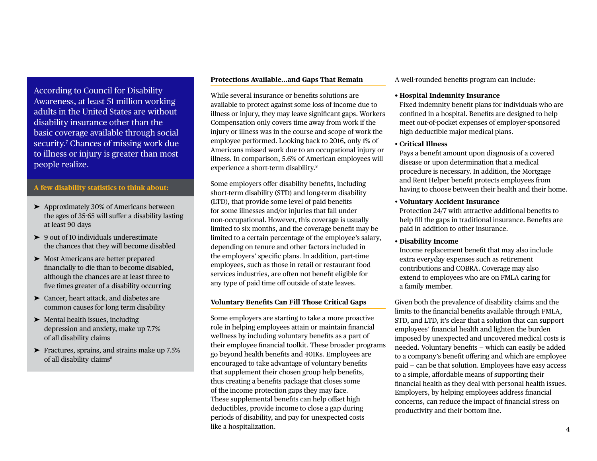According to Council for Disability Awareness, at least 51 million working adults in the United States are without disability insurance other than the basic coverage available through social security.7 Chances of missing work due to illness or injury is greater than most people realize.

# **A few disability statistics to think about:**

- ➤ Approximately 30% of Americans between the ages of 35-65 will suffer a disability lasting at least 90 days
- ➤ 9 out of 10 individuals underestimate the chances that they will become disabled
- ➤ Most Americans are better prepared financially to die than to become disabled, although the chances are at least three to five times greater of a disability occurring
- ➤ Cancer, heart attack, and diabetes are common causes for long term disability
- ➤ Mental health issues, including depression and anxiety, make up 7.7% of all disability claims
- ➤ Fractures, sprains, and strains make up 7.5% of all disability claims<sup>8</sup>

#### **Protections Available…and Gaps That Remain**

While several insurance or benefits solutions are available to protect against some loss of income due to illness or injury, they may leave significant gaps. Workers Compensation only covers time away from work if the injury or illness was in the course and scope of work the employee performed. Looking back to 2016, only 1% of Americans missed work due to an occupational injury or illness. In comparison, 5.6% of American employees will experience a short-term disability.8

Some employers offer disability benefits, including short-term disability (STD) and long-term disability (LTD), that provide some level of paid benefits for some illnesses and/or injuries that fall under non-occupational. However, this coverage is usually limited to six months, and the coverage benefit may be limited to a certain percentage of the employee's salary, depending on tenure and other factors included in the employers' specific plans. In addition, part-time employees, such as those in retail or restaurant food services industries, are often not benefit eligible for any type of paid time off outside of state leaves.

#### **Voluntary Benefits Can Fill Those Critical Gaps**

Some employers are starting to take a more proactive role in helping employees attain or maintain financial wellness by including voluntary benefits as a part of their employee financial toolkit. These broader programs go beyond health benefits and 401Ks. Employees are encouraged to take advantage of voluntary benefits that supplement their chosen group help benefits, thus creating a benefits package that closes some of the income protection gaps they may face. These supplemental benefits can help offset high deductibles, provide income to close a gap during periods of disability, and pay for unexpected costs like a hospitalization.

A well-rounded benefits program can include:

#### **• Hospital Indemnity Insurance**

Fixed indemnity benefit plans for individuals who are confined in a hospital. Benefits are designed to help meet out-of-pocket expenses of employer-sponsored high deductible major medical plans.

## • **Critical Illness**

Pays a benefit amount upon diagnosis of a covered disease or upon determination that a medical procedure is necessary. In addition, the Mortgage and Rent Helper benefit protects employees from having to choose between their health and their home.

#### • **Voluntary Accident Insurance**

Protection 24/7 with attractive additional benefits to help fill the gaps in traditional insurance. Benefits are paid in addition to other insurance.

### • **Disability Income**

Income replacement benefit that may also include extra everyday expenses such as retirement contributions and COBRA. Coverage may also extend to employees who are on FMLA caring for a family member.

Given both the prevalence of disability claims and the limits to the financial benefits available through FMLA, STD, and LTD, it's clear that a solution that can support employees' financial health and lighten the burden imposed by unexpected and uncovered medical costs is needed. Voluntary benefits — which can easily be added to a company's benefit offering and which are employee paid — can be that solution. Employees have easy access to a simple, affordable means of supporting their financial health as they deal with personal health issues. Employers, by helping employees address financial concerns, can reduce the impact of financial stress on productivity and their bottom line.